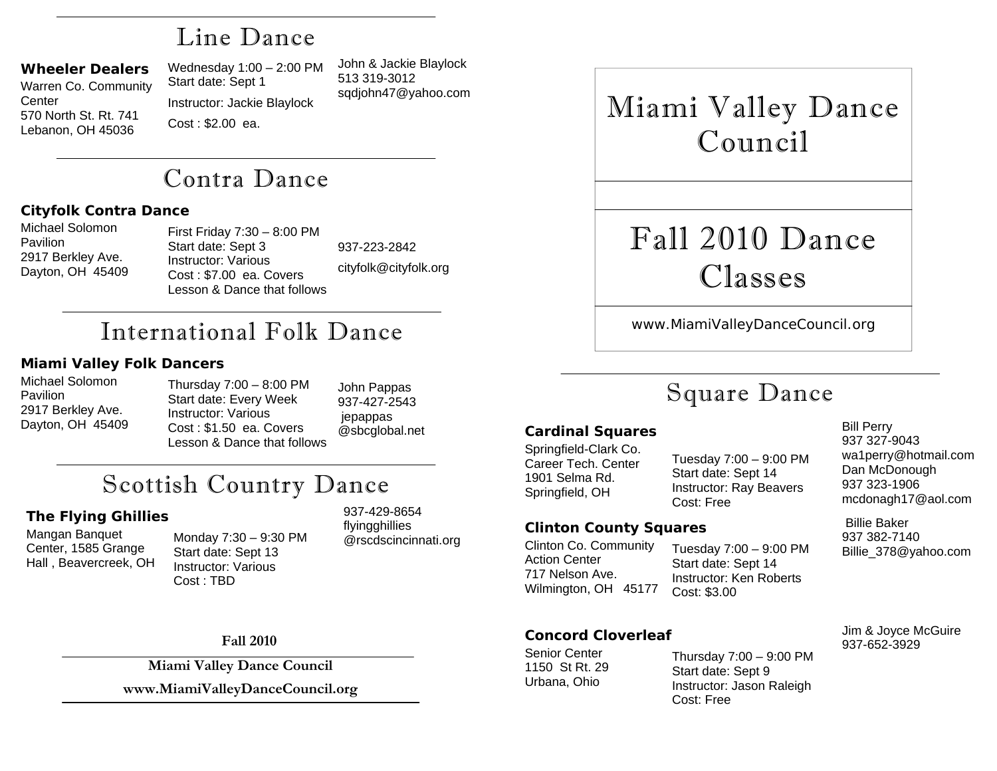## Line Dance

### **Wheeler Dealers**

Warren Co. Community Center 570 North St. Rt. 741 Lebanon, OH 45036

Wednesday 1:00 – 2:00 PM Start date: Sept 1 Instructor: Jackie Blaylock Cost : \$2.00 ea.

John & Jackie Blaylock 513 319-3012 sqdjohn47@yahoo.com

# Contra Dance

### **Cityfolk Contra Dance**

Michael Solomon **Pavilion** 2917 Berkley Ave. Dayton, OH 45409 First Friday 7:30 – 8:00 PM Start date: Sept 3 Instructor: Various Cost : \$7.00 ea. Covers Lesson & Dance that follows

937-223-2842 cityfolk@cityfolk.org

# International Folk Dance

### **Miami Valley Folk Dancers**

Michael Solomon **Pavilion** 2917 Berkley Ave. Dayton, OH 45409

Thursday 7:00 – 8:00 PM Start date: Every Week Instructor: Various Cost : \$1.50 ea. Covers Lesson & Dance that follows

John Pappas 937-427-2543 jepappas @sbcglobal.net

# Scottish Country Dance

### **The Flying Ghillies**

Hall , Beavercreek, OH

@rscdscincinnati.org Mangan Banquet Center, 1585 Grange Monday 7:30 – 9:30 PM Start date: Sept 13 Instructor: Various Cost : TBD

937-429-8654 flyingghillies

Miami Valley Dance Council

# Fall 2010 Dance Classes

www.MiamiValleyDanceCouncil.org

# Square Dance

Tuesday 7:00 – 9:00 PM Start date: Sept 14 Instructor: Ray Beavers

### **Cardinal Squares**

Springfield-Clark Co. Career Tech. Center 1901 Selma Rd. Springfield, OH

### **Clinton County Squares**

Clinton Co. Community Action Center 717 Nelson Ave. Wilmington, OH 45177

# 937-652-3929 **Concord Cloverleaf** Senior Center

1150 St Rt. 29 Urbana, Ohio

Tuesday 7:00 – 9:00 PM Start date: Sept 14 Instructor: Ken Roberts Cost: \$3.00

Thursday 7:00 – 9:00 PM

Instructor: Jason Raleigh

Start date: Sept 9

Cost: Free

Jim & Joyce McGuire

wa1perry@hotmail.com Dan McDonough 937 323-1906

mcdonagh17@aol.com

Billie\_378@yahoo.com

Bill Perry 937 327-9043

 Billie Baker 937 382-7140

**Fall 2010** 

**Miami Valley Dance Council** 

**www.MiamiValleyDanceCouncil.org** 

Cost: Free